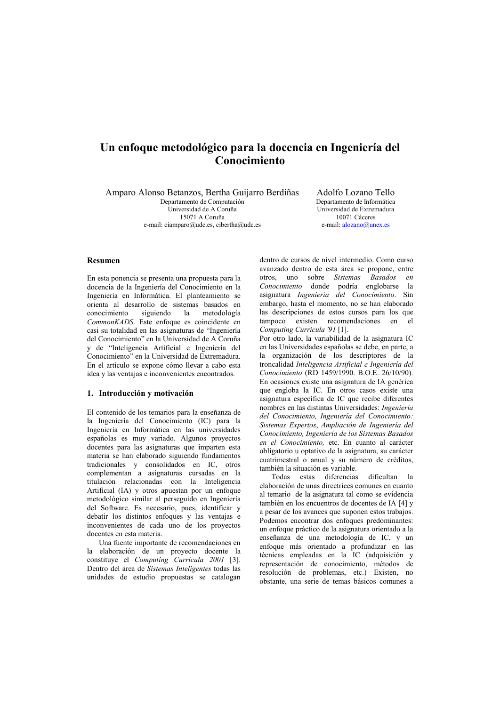# Un enfoque metodológico para la docencia en Ingeniería del Conocimiento

Amparo Alonso Betanzos, Bertha Guijarro Berdiñas Departamento de Computación

Universidad de A Coruña 15071 A Coruña e-mail: ciamparo@udc.es, cibertha@udc.es

Adolfo Lozano Tello Denartamento de Informática Universidad de Extremadura 10071 Cáceres e-mail:  $\frac{alozano(\hat{a})}{anex. es}$ 

# **Resumen**

En esta ponencia se presenta una propuesta para la docencia de la Ingeniería del Conocimiento en la Ingeniería en Informática. El planteamiento se orienta al desarrollo de sistemas basados en conocimiento siguiendo  $1a$ metodología CommonKADS. Este enfoque es coincidente en casi su totalidad en las asignaturas de "Ingeniería del Conocimiento" en la Universidad de A Coruña y de "Inteligencia Artificial e Ingeniería del Conocimiento" en la Universidad de Extremadura. En el artículo se expone cómo llevar a cabo esta idea y las ventajas e inconvenientes encontrados.

# 1. Introducción y motivación

El contenido de los temarios para la enseñanza de la Ingeniería del Conocimiento (IC) para la Ingeniería en Informática en las universidades españolas es muy variado. Algunos proyectos docentes para las asignaturas que imparten esta materia se han elaborado siguiendo fundamentos tradicionales y consolidados en IC, otros complementan a asignaturas cursadas en la titulación relacionadas con la Inteligencia Artificial (IA) y otros apuestan por un enfoque metodológico similar al perseguido en Ingeniería del Software. Es necesario, pues, identificar y debatir los distintos enfoques y las ventajas e inconvenientes de cada uno de los proyectos docentes en esta materia.

Una fuente importante de recomendaciones en la elaboración de un proyecto docente la constituye el Computing Curricula 2001 [3]. Dentro del área de Sistemas Inteligentes todas las unidades de estudio propuestas se catalogan

dentro de cursos de nivel intermedio. Como curso avanzado dentro de esta área se propone, entre otros, uno sobre Sistemas Basados en Conocimiento donde podría englobarse la asignatura *Ingeniería del Conocimiento*. Sin embargo, hasta el momento, no se han elaborado las descripciones de estos cursos para los que tampoco existen recomendaciones en el Computing Curricula '91 [1].

Por otro lado, la variabilidad de la asignatura IC en las Universidades españolas se debe, en parte, a la organización de los descriptores de la troncalidad Inteligencia Artificial e Ingeniería del Conocimiento (RD 1459/1990. B.O.E. 26/10/90). En ocasiones existe una asignatura de IA genérica que engloba la IC. En otros casos existe una asignatura específica de IC que recibe diferentes nombres en las distintas Universidades: Ingeniería del Conocimiento, Ingeniería del Conocimiento: Sistemas Expertos, Ampliación de Ingeniería del Conocimiento, Ingeniería de los Sistemas Basados en el Conocimiento, etc. En cuanto al carácter obligatorio u optativo de la asignatura, su carácter cuatrimestral o anual y su número de créditos, también la situación es variable.

Todas estas diferencias dificultan  $1a$ elaboración de unas directrices comunes en cuanto al temario de la asignatura tal como se evidencia también en los encuentros de docentes de IA [4] y a pesar de los avances que suponen estos trabajos. Podemos encontrar dos enfoques predominantes: un enfoque práctico de la asignatura orientado a la enseñanza de una metodología de IC, y un enfoque más orientado a profundizar en las técnicas empleadas en la IC (adquisición y representación de conocimiento, métodos de resolución de problemas, etc.) Existen, no obstante, una serie de temas básicos comunes a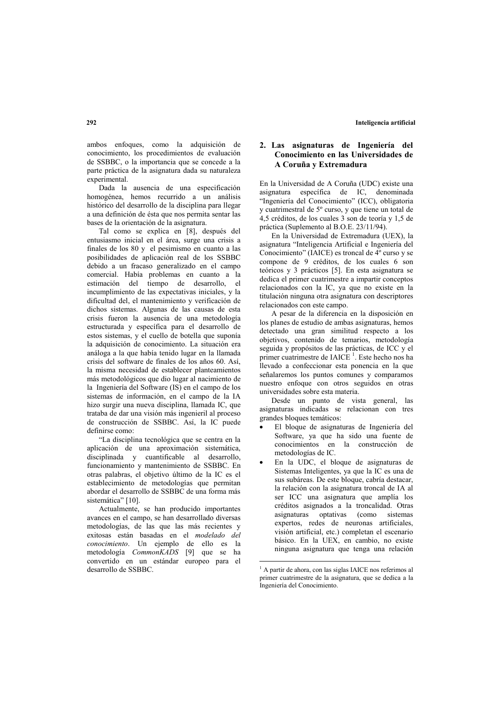ambos enfoques, como la adquisición de conocimiento, los procedimientos de evaluación de SSBBC, o la importancia que se concede a la parte práctica de la asignatura dada su naturaleza experimental.

Dada la ausencia de una especificación homogénea, hemos recurrido a un análisis histórico del desarrollo de la disciplina para llegar a una definición de ésta que nos permita sentar las bases de la orientación de la asignatura.

Tal como se explica en [8], después del entusiasmo inicial en el área, surge una crisis a finales de los 80 y el pesimismo en cuanto a las posibilidades de aplicación real de los SSBBC debido a un fracaso generalizado en el campo comercial. Había problemas en cuanto a la estimación del tiempo de desarrollo, el incumplimiento de las expectativas iniciales, y la dificultad del, el mantenimiento y verificación de dichos sistemas. Algunas de las causas de esta crisis fueron la ausencia de una metodología estructurada y específica para el desarrollo de estos sistemas, y el cuello de botella que suponía la adquisición de conocimiento. La situación era análoga a la que había tenido lugar en la llamada crisis del software de finales de los años 60. Así, la misma necesidad de establecer planteamientos más metodológicos que dio lugar al nacimiento de la Ingeniería del Software (IS) en el campo de los sistemas de información, en el campo de la IA hizo surgir una nueva disciplina, llamada IC, que trataba de dar una visión más ingenieril al proceso de construcción de SSBBC. Así, la IC puede definirse como:

"La disciplina tecnológica que se centra en la aplicación de una aproximación sistemática, disciplinada y cuantificable al desarrollo, funcionamiento y mantenimiento de SSBBC. En otras palabras, el objetivo último de la IC es el establecimiento de metodologías que permitan abordar el desarrollo de SSBBC de una forma más sistemática" [10].

Actualmente, se han producido importantes avances en el campo, se han desarrollado diversas metodologías, de las que las más recientes y exitosas están basadas en el modelado del conocimiento. Un ejemplo de ello es la metodología CommonKADS [9] que se ha convertido en un estándar europeo para el desarrollo de SSBBC.

# 2. Las asignaturas de Ingeniería del Conocimiento en las Universidades de A Coruña y Extremadura

En la Universidad de A Coruña (UDC) existe una asignatura específica de IC. denominada "Ingeniería del Conocimiento" (ICC), obligatoria v cuatrimestral de 5° curso, y que tiene un total de 4.5 créditos, de los cuales 3 son de teoría y 1,5 de práctica (Suplemento al B.O.E. 23/11/94).

En la Universidad de Extremadura (UEX), la asignatura "Inteligencia Artificial e Ingeniería del Conocimiento" (IAICE) es troncal de 4<sup>°</sup> curso y se compone de 9 créditos, de los cuales 6 son teóricos y 3 prácticos [5]. En esta asignatura se dedica el primer cuatrimestre a impartir conceptos relacionados con la IC, ya que no existe en la titulación ninguna otra asignatura con descriptores relacionados con este campo.

A pesar de la diferencia en la disposición en los planes de estudio de ambas asignaturas, hemos detectado una gran similitud respecto a los objetivos, contenido de temarios, metodología seguida y propósitos de las prácticas, de ICC y el primer cuatrimestre de IAICE<sup>1</sup>. Este hecho nos ha llevado a confeccionar esta ponencia en la que señalaremos los puntos comunes y comparamos nuestro enfoque con otros seguidos en otras universidades sobre esta materia.

Desde un punto de vista general, las asignaturas indicadas se relacionan con tres grandes bloques temáticos:

- El bloque de asignaturas de Ingeniería del Software, ya que ha sido una fuente de conocimientos en la construcción de metodologías de IC.
- En la UDC, el bloque de asignaturas de Sistemas Inteligentes, ya que la IC es una de sus subáreas. De este bloque, cabría destacar, la relación con la asignatura troncal de IA al ser ICC una asignatura que amplía los créditos asignados a la troncalidad. Otras asignaturas optativas (como sistemas expertos, redes de neuronas artificiales, visión artificial, etc.) completan el escenario básico. En la UEX, en cambio, no existe ninguna asignatura que tenga una relación

<sup>&</sup>lt;sup>1</sup> A partir de ahora, con las siglas IAICE nos referimos al primer cuatrimestre de la asignatura, que se dedica a la Ingeniería del Conocimiento.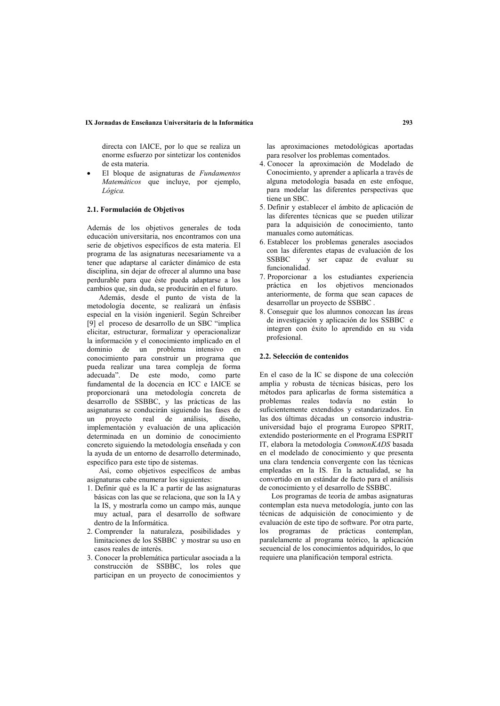#### IX Jornadas de Enseñanza Universitaria de la Informática

directa con IAICE, por lo que se realiza un enorme esfuerzo por sintetizar los contenidos de esta materia.

El bloque de asignaturas de Fundamentos Matemáticos que incluye, por ejemplo, Lógica.

# 2.1. Formulación de Obietivos

Además de los objetivos generales de toda educación universitaria nos encontramos con una serie de obietivos específicos de esta materia. El programa de las asignaturas necesariamente va a tener que adaptarse al carácter dinámico de esta disciplina, sin dejar de ofrecer al alumno una base perdurable para que éste pueda adaptarse a los cambios que, sin duda, se producirán en el futuro.

Además, desde el punto de vista de la metodología docente, se realizará un énfasis especial en la visión ingenieril. Según Schreiber [9] el proceso de desarrollo de un SBC "implica" elicitar, estructurar, formalizar y operacionalizar la información y el conocimiento implicado en el dominio de un problema intensivo en conocimiento para construir un programa que pueda realizar una tarea compleja de forma adecuada". De este modo, como parte fundamental de la docencia en ICC e IAICE se proporcionará una metodología concreta de desarrollo de SSBBC, y las prácticas de las asignaturas se conducirán siguiendo las fases de  $\mathbf{u}$ proyecto real de análisis, diseño implementación y evaluación de una aplicación determinada en un dominio de conocimiento concreto siguiendo la metodología enseñada y con la avuda de un entorno de desarrollo determinado, específico para este tipo de sistemas.

Así, como objetivos específicos de ambas asignaturas cabe enumerar los siguientes:

- 1. Definir qué es la IC a partir de las asignaturas básicas con las que se relaciona, que son la IA y la IS, y mostrarla como un campo más, aunque muy actual, para el desarrollo de software dentro de la Informática.
- 2. Comprender la naturaleza, posibilidades y limitaciones de los SSBBC y mostrar su uso en casos reales de interés.
- 3. Conocer la problemática particular asociada a la construcción de SSBBC, los roles que participan en un proyecto de conocimientos y

las aproximaciones metodológicas aportadas para resolver los problemas comentados.

- 4. Conocer la aproximación de Modelado de Conocimiento, y aprender a aplicarla a través de alguna metodología basada en este enfoque, para modelar las diferentes perspectivas que tiene un SBC.
- 5. Definir y establecer el ámbito de aplicación de las diferentes técnicas que se pueden utilizar para la adquisición de conocimiento tanto manuales como automáticas.
- 6. Establecer los problemas generales asociados con las diferentes etapas de evaluación de los **SSBBC** y ser capaz de evaluar su funcionalidad.
- 7. Proporcionar a los estudiantes experiencia práctica en los objetivos mencionados anteriormente, de forma que sean capaces de desarrollar un proyecto de SSBBC.
- 8. Conseguir que los alumnos conozcan las áreas de investigación y aplicación de los SSBBC e integren con éxito lo aprendido en su vida profesional.

#### 2.2. Selección de contenidos

En el caso de la IC se dispone de una colección amplia y robusta de técnicas básicas, pero los métodos para aplicarlas de forma sistemática a problemas reales todavía no están lo suficientemente extendidos y estandarizados. En las dos últimas décadas un consorcio industriauniversidad bajo el programa Europeo SPRIT, extendido posteriormente en el Programa ESPRIT IT, elabora la metodología CommonKADS basada en el modelado de conocimiento y que presenta una clara tendencia convergente con las técnicas empleadas en la IS. En la actualidad, se ha convertido en un estándar de facto para el análisis de conocimiento y el desarrollo de SSBBC.

Los programas de teoría de ambas asignaturas contemplan esta nueva metodología, junto con las técnicas de adquisición de conocimiento y de evaluación de este tipo de software. Por otra parte, programas de prácticas contemplan,  $\log$ paralelamente al programa teórico, la aplicación secuencial de los conocimientos adquiridos, lo que requiere una planificación temporal estricta.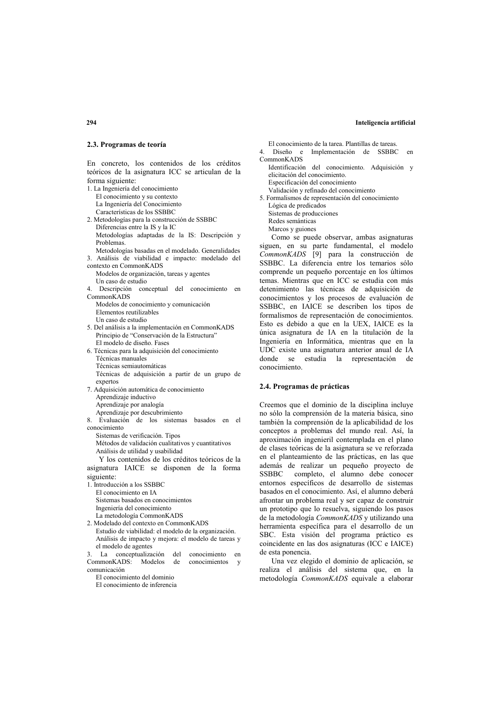#### 2.3. Programas de teoría

En concreto, los contenidos de los créditos teóricos de la asignatura ICC se articulan de la forma siguiente:

- 1. La Ingeniería del conocimiento El conocimiento y su contexto La Ingeniería del Conocimiento Características de los SSBBC 2. Metodologías para la construcción de SSBBC
- Diferencias entre la IS y la IC Metodologías adaptadas de la IS: Descripción y Problemas.
- Metodologías basadas en el modelado. Generalidades 3. Análisis de viabilidad e impacto: modelado del
- contexto en CommonKADS Modelos de organización, tareas y agentes
- Un caso de estudio 4. Descripción conceptual del conocimiento en
- CommonKADS
- Modelos de conocimiento y comunicación Elementos reutilizables Un caso de estudio
- 5. Del análisis a la implementación en CommonKADS Principio de "Conservación de la Estructura" El modelo de diseño. Fases
- 6. Técnicas para la adquisición del conocimiento Técnicas manuales Técnicas semiautomáticas Técnicas de adquisición a partir de un grupo de expertos
- 7. Adquisición automática de conocimiento Aprendizaje inductivo Aprendizaje por analogía Aprendizaje por descubrimiento
	-
- 8. Evaluación de los sistemas basados en el conocimiento
	- Sistemas de verificación. Tipos
	- Métodos de validación cualitativos y cuantitativos Análisis de utilidad y usabilidad

Y los contenidos de los créditos teóricos de la asignatura IAICE se disponen de la forma sioniente:

- 1. Introducción a los SSBBC El conocimiento en IA Sistemas basados en conocimientos Ingeniería del conocimiento La metodología CommonKADS
- 2. Modelado del contexto en CommonKADS Estudio de viabilidad: el modelo de la organización. Análisis de impacto y mejora: el modelo de tareas y el modelo de agentes

3. La conceptualización del conocimiento en CommonKADS: Modelos de conocimientos y comunicación

- El conocimiento del dominio
- El conocimiento de inferencia

El conocimiento de la tarea. Plantillas de tareas.

- $\Delta$  Diseño e Implementación de SSBBC  $_{en}$
- CommonKADS
- Identificación del conocimiento. Adquisición y elicitación del conocimiento Especificación del conocimiento Validación y refinado del conocimiento
- 5. Formalismos de representación del conocimiento Lógica de predicados
	- Sistemas de producciones

Redes semánticas

Marcos y guiones

Como se puede observar, ambas asignaturas siguen, en su parte fundamental, el modelo CommonKADS [9] para la construcción de SSBBC. La diferencia entre los temarios sólo comprende un pequeño porcentaje en los últimos temas. Mientras que en ICC se estudia con más detenimiento las técnicas de adquisición de conocimientos y los procesos de evaluación de SSBBC, en IAICE se describen los tipos de formalismos de representación de conocimientos. Esto es debido a que en la UEX, IAICE es la única asignatura de IA en la titulación de la Ingeniería en Informática, mientras que en la UDC existe una asignatura anterior anual de IA donde se estudia la representación de conocimiento.

#### 2.4. Programas de prácticas

Creemos que el dominio de la disciplina incluye no sólo la comprensión de la materia básica, sino también la comprensión de la aplicabilidad de los conceptos a problemas del mundo real. Así, la aproximación ingenieril contemplada en el plano de clases teóricas de la asignatura se ve reforzada en el planteamiento de las prácticas, en las que además de realizar un pequeño proyecto de completo, el alumno debe conocer **SSBBC** entornos específicos de desarrollo de sistemas basados en el conocimiento. Así, el alumno deberá afrontar un problema real y ser capaz de construir un prototipo que lo resuelva, siguiendo los pasos de la metodología CommonKADS y utilizando una herramienta específica para el desarrollo de un SBC. Esta visión del programa práctico es coincidente en las dos asignaturas (ICC e IAICE) de esta ponencia.

Una vez elegido el dominio de aplicación, se realiza el análisis del sistema que, en la metodología CommonKADS equivale a elaborar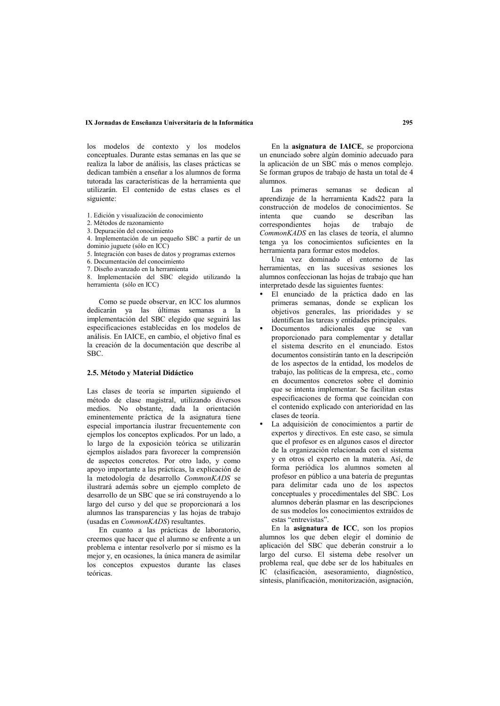### IX Jornadas de Enseñanza Universitaria de la Informática

los modelos de contexto y los modelos conceptuales. Durante estas semanas en las que se realiza la labor de análisis, las clases prácticas se dedican también a enseñar a los alumnos de forma tutorada las características de la herramienta que utilizarán. El contenido de estas clases es el siguiente:

- 1. Edición y visualización de conocimiento
- 2. Métodos de razonamiento
- 3. Depuración del conocimiento
- 4. Implementación de un pequeño SBC a partir de un
- dominio juguete (sólo en ICC)
- 5. Integración con bases de datos y programas externos
- 6. Documentación del conocimiento
- 7. Diseño avanzado en la herramienta

8. Implementación del SBC elegido utilizando la herramienta (sólo en ICC)

Como se puede observar, en ICC los alumnos dedicarán va las últimas semanas a la implementación del SBC elegido que seguirá las especificaciones establecidas en los modelos de análisis. En IAICE, en cambio, el objetivo final es la creación de la documentación que describe al SBC.

#### 2.5. Método y Material Didáctico

Las clases de teoría se imparten siguiendo el método de clase magistral, utilizando diversos medios. No obstante, dada la orientación eminentemente práctica de la asignatura tiene especial importancia ilustrar frecuentemente con ejemplos los conceptos explicados. Por un lado, a lo largo de la exposición teórica se utilizarán ejemplos aislados para favorecer la comprensión de aspectos concretos. Por otro lado, y como apoyo importante a las prácticas, la explicación de la metodología de desarrollo CommonKADS se ilustrará además sobre un ejemplo completo de desarrollo de un SBC que se irá construyendo a lo largo del curso y del que se proporcionará a los alumnos las transparencias y las hojas de trabajo (usadas en *CommonKADS*) resultantes.

En cuanto a las prácticas de laboratorio, creemos que hacer que el alumno se enfrente a un problema e intentar resolverlo por sí mismo es la mejor y, en ocasiones, la única manera de asimilar los conceptos expuestos durante las clases teóricas

En la asignatura de IAICE, se proporciona un enunciado sobre algún dominio adecuado para la aplicación de un SBC más o menos complejo. Se forman grupos de trabajo de hasta un total de 4 alumnos.

Las primeras semanas se dedican al aprendizaje de la herramienta Kads22 para la construcción de modelos de conocimientos. Se intenta que cuando se describan las correspondientes hojas de trabaio de CommonKADS en las clases de teoría, el alumno tenga va los conocimientos suficientes en la herramienta para formar estos modelos.

Una vez dominado el entorno de las herramientas, en las sucesivas sesiones los alumnos confeccionan las hojas de trabajo que han interpretado desde las siguientes fuentes:

- · El enunciado de la práctica dado en las primeras semanas, donde se explican los objetivos generales, las prioridades y se identifican las tareas y entidades principales.
- Documentos adicionales que se van proporcionado para complementar y detallar el sistema descrito en el enunciado. Estos documentos consistirán tanto en la descripción de los aspectos de la entidad. los modelos de trabajo. las políticas de la empresa, etc., como en documentos concretos sobre el dominio que se intenta implementar. Se facilitan estas especificaciones de forma que coincidan con el contenido explicado con anterioridad en las clases de teoría
- La adquisición de conocimientos a partir de expertos y directivos. En este caso, se simula que el profesor es en algunos casos el director de la organización relacionada con el sistema y en otros el experto en la materia. Así, de forma periódica los alumnos someten al profesor en público a una batería de preguntas para delimitar cada uno de los aspectos conceptuales y procedimentales del SBC. Los alumnos deberán plasmar en las descripciones de sus modelos los conocimientos extraídos de estas "entrevistas".

En la asignatura de ICC, son los propios alumnos los que deben elegir el dominio de aplicación del SBC que deberán construir a lo largo del curso. El sistema debe resolver un problema real, que debe ser de los habituales en IC (clasificación, asesoramiento, diagnóstico, síntesis, planificación, monitorización, asignación,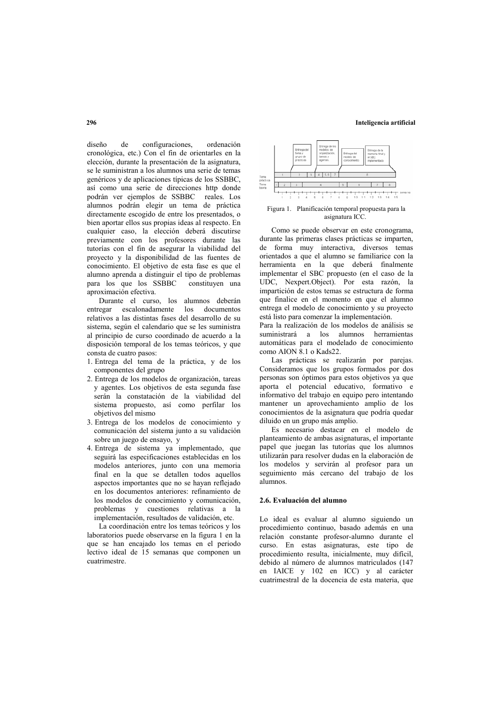diseño  $de$ configuraciones. ordenación cronológica, etc.) Con el fin de orientarles en la elección, durante la presentación de la asignatura. se le suministran a los alumnos una serie de temas genéricos y de aplicaciones típicas de los SSBBC. así como una serie de direcciones http donde podrán ver ejemplos de SSBBC reales. Los alumnos podrán elegir un tema de práctica directamente escogido de entre los presentados, o bien aportar ellos sus propias ideas al respecto. En cualquier caso, la elección deberá discutirse previamente con los profesores durante las tutorías con el fin de asegurar la viabilidad del proyecto y la disponibilidad de las fuentes de conocimiento. El objetivo de esta fase es que el alumno aprenda a distinguir el tipo de problemas constituyen una para los que los SSBBC aproximación efectiva.

Durante el curso, los alumnos deberán entregar escalonadamente los documentos relativos a las distintas fases del desarrollo de su sistema, según el calendario que se les suministra al principio de curso coordinado de acuerdo a la disposición temporal de los temas teóricos, y que consta de cuatro pasos:

- 1. Entrega del tema de la práctica, y de los componentes del grupo
- 2. Entrega de los modelos de organización, tareas y agentes. Los objetivos de esta segunda fase serán la constatación de la viabilidad del sistema propuesto, así como perfilar los objetivos del mismo
- 3. Entrega de los modelos de conocimiento y comunicación del sistema junto a su validación sobre un juego de ensayo, y
- 4. Entrega de sistema ya implementado, que seguirá las especificaciones establecidas en los modelos anteriores, junto con una memoria final en la que se detallen todos aquellos aspectos importantes que no se hayan reflejado en los documentos anteriores: refinamiento de los modelos de conocimiento y comunicación, problemas y cuestiones relativas a la implementación, resultados de validación, etc.

La coordinación entre los temas teóricos y los laboratorios puede observarse en la figura 1 en la que se han encajado los temas en el periodo lectivo ideal de 15 semanas que componen un cuatrimestre



Figura 1. Planificación temporal propuesta para la asignatura ICC.

Como se puede observar en este cronograma, durante las primeras clases prácticas se imparten de forma muy interactiva, diversos temas orientados a que el alumno se familiarice con la herramienta en la que deberá finalmente implementar el SBC propuesto (en el caso de la UDC, Nexpert.Object). Por esta razón, la impartición de estos temas se estructura de forma que finalice en el momento en que el alumno entrega el modelo de conocimiento y su provecto está listo para comenzar la implementación.

Para la realización de los modelos de análisis se suministrará a los alumnos herramientas automáticas para el modelado de conocimiento como AION  $\hat{8}$  1 o Kads22.

Las prácticas se realizarán por parejas. Consideramos que los grupos formados por dos personas son óptimos para estos objetivos ya que aporta el potencial educativo, formativo e informativo del trabajo en equipo pero intentando mantener un aprovechamiento amplio de los conocimientos de la asignatura que podría quedar diluido en un grupo más amplio.

Es necesario destacar en el modelo de planteamiento de ambas asignaturas, el importante papel que juegan las tutorías que los alumnos utilizarán para resolver dudas en la elaboración de los modelos y servirán al profesor para un seguimiento más cercano del trabajo de los alumnos

#### 2.6. Evaluación del alumno

Lo ideal es evaluar al alumno siguiendo un procedimiento continuo, basado además en una relación constante profesor-alumno durante el curso. En estas asignaturas, este tipo de procedimiento resulta, inicialmente, muy difícil, debido al número de alumnos matriculados (147 en IAICE y 102 en ICC) y al carácter cuatrimestral de la docencia de esta materia, que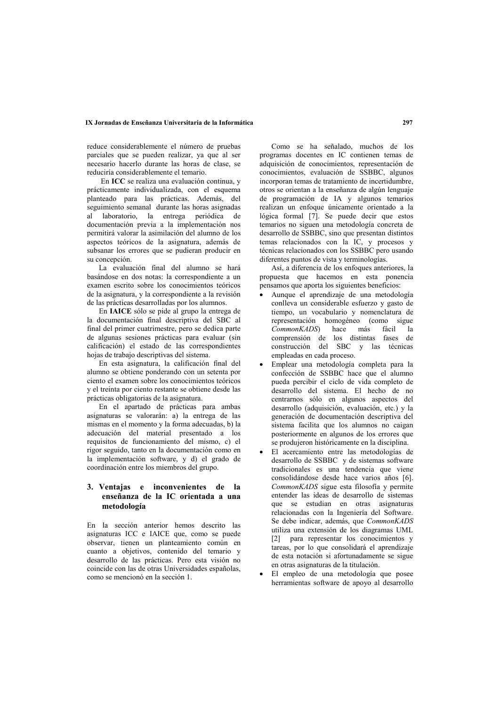### IX Jornadas de Enseñanza Universitaria de la Informática

reduce considerablemente el número de pruebas parciales que se pueden realizar, ya que al ser necesario hacerlo durante las horas de clase, se reduciría considerablemente el temario.

En ICC se realiza una evaluación continua, y prácticamente individualizada, con el esquema planteado para las prácticas. Además, del seguimiento semanal durante las horas asignadas al laboratorio, la entrega periódica de documentación previa a la implementación nos permitirá valorar la asimilación del alumno de los aspectos teóricos de la asignatura, además de subsanar los errores que se pudieran producir en su concepción.

La evaluación final del alumno se hará basándose en dos notas: la correspondiente a un examen escrito sobre los conocimientos teóricos de la asignatura, y la correspondiente a la revisión de las prácticas desarrolladas por los alumnos.

En **IAICE** sólo se pide al grupo la entrega de la documentación final descriptiva del SBC al final del primer cuatrimestre, pero se dedica parte de algunas sesiones prácticas para evaluar (sin calificación) el estado de las correspondientes hojas de trabajo descriptivas del sistema.

En esta asignatura, la calificación final del alumno se obtiene ponderando con un setenta por ciento el examen sobre los conocimientos teóricos y el treinta por ciento restante se obtiene desde las prácticas obligatorias de la asignatura.

En el apartado de prácticas para ambas asignaturas se valorarán: a) la entrega de las mismas en el momento y la forma adecuadas, b) la adecuación del material presentado a los requisitos de funcionamiento del mismo, c) el rigor seguido, tanto en la documentación como en la implementación software, y d) el grado de coordinación entre los miembros del grupo.

# 3. Ventajas e inconvenientes de la enseñanza de la IC orientada a una metodología

En la sección anterior hemos descrito las asignaturas ICC e IAICE que, como se puede observar, tienen un planteamiento común en cuanto a objetivos, contenido del temario y desarrollo de las prácticas. Pero esta visión no coincide con las de otras Universidades españolas, como se mencionó en la sección 1.

Como se ha señalado, muchos de los programas docentes en IC contienen temas de adquisición de conocimientos, representación de conocimientos evaluación de SSBBC algunos incorporan temas de tratamiento de incertidumbre, otros se orientan a la enseñanza de algún lenguaie de programación de IA y algunos temarios realizan un enfoque únicamente orientado a la lógica formal [7]. Se puede decir que estos temarios no siguen una metodología concreta de desarrollo de SSBBC, sino que presentan distintos temas relacionados con la IC, y procesos y técnicas relacionados con los SSBBC pero usando diferentes puntos de vista y terminologías.

Así, a diferencia de los enfoques anteriores, la propuesta que hacemos en esta ponencia pensamos que aporta los siguientes beneficios:

- Aunque el aprendizaje de una metodología conlleva un considerable esfuerzo y gasto de tiempo, un vocabulario y nomenclatura de representación homogéneo (como sigue CommonKADS) hace más fácil ์ 1a comprensión de los distintas fases de construcción del SBC y las técnicas empleadas en cada proceso.
- Emplear una metodología completa para la confección de SSBBC hace que el alumno pueda percibir el ciclo de vida completo de desarrollo del sistema. El hecho de no centrarnos sólo en algunos aspectos del desarrollo (adquisición, evaluación, etc.) y la generación de documentación descriptiva del sistema facilita que los alumnos no caigan posteriormente en algunos de los errores que se produjeron históricamente en la disciplina.
- El acercamiento entre las metodologías de desarrollo de SSBBC y de sistemas software tradicionales es una tendencia que viene consolidándose desde hace varios años [6]. CommonKADS sigue esta filosofía y permite entender las ideas de desarrollo de sistemas que se estudian en otras asignaturas relacionadas con la Ingeniería del Software. Se debe indicar, además, que CommonKADS utiliza una extensión de los diagramas UML [2] para representar los conocimientos y tareas, por lo que consolidará el aprendizaje de esta notación si afortunadamente se sigue en otras asignaturas de la titulación.
- El empleo de una metodología que posee herramientas software de apoyo al desarrollo